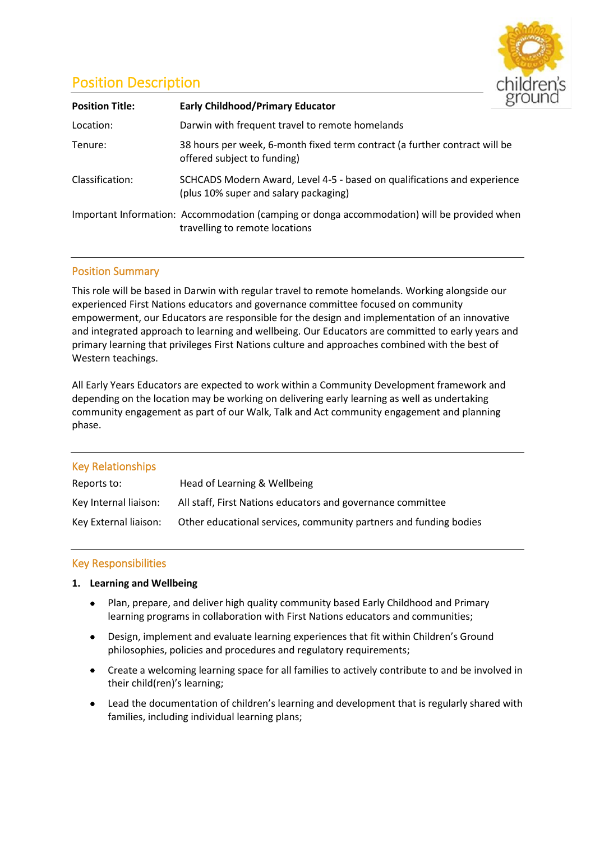

# Position Description

| <b>Position Title:</b> | <b>Early Childhood/Primary Educator</b>                                                                                       |  |
|------------------------|-------------------------------------------------------------------------------------------------------------------------------|--|
| Location:              | Darwin with frequent travel to remote homelands                                                                               |  |
| Tenure:                | 38 hours per week, 6-month fixed term contract (a further contract will be<br>offered subject to funding)                     |  |
| Classification:        | SCHCADS Modern Award, Level 4-5 - based on qualifications and experience<br>(plus 10% super and salary packaging)             |  |
|                        | Important Information: Accommodation (camping or donga accommodation) will be provided when<br>travelling to remote locations |  |

# Position Summary

This role will be based in Darwin with regular travel to remote homelands. Working alongside our experienced First Nations educators and governance committee focused on community empowerment, our Educators are responsible for the design and implementation of an innovative and integrated approach to learning and wellbeing. Our Educators are committed to early years and primary learning that privileges First Nations culture and approaches combined with the best of Western teachings.

All Early Years Educators are expected to work within a Community Development framework and depending on the location may be working on delivering early learning as well as undertaking community engagement as part of our Walk, Talk and Act community engagement and planning phase.

| <b>Key Relationships</b> |                                                                   |
|--------------------------|-------------------------------------------------------------------|
| Reports to:              | Head of Learning & Wellbeing                                      |
| Key Internal liaison:    | All staff, First Nations educators and governance committee       |
| Key External liaison:    | Other educational services, community partners and funding bodies |

# Key Responsibilities

# **1. Learning and Wellbeing**

- Plan, prepare, and deliver high quality community based Early Childhood and Primary learning programs in collaboration with First Nations educators and communities;
- Design, implement and evaluate learning experiences that fit within Children's Ground philosophies, policies and procedures and regulatory requirements;
- Create a welcoming learning space for all families to actively contribute to and be involved in their child(ren)'s learning;
- Lead the documentation of children's learning and development that is regularly shared with families, including individual learning plans;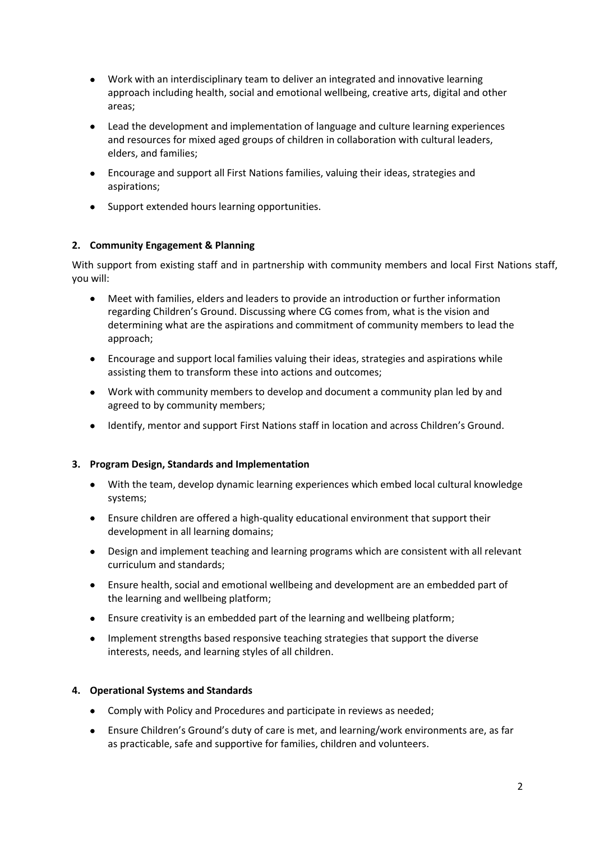- Work with an interdisciplinary team to deliver an integrated and innovative learning approach including health, social and emotional wellbeing, creative arts, digital and other areas;
- Lead the development and implementation of language and culture learning experiences and resources for mixed aged groups of children in collaboration with cultural leaders, elders, and families;
- Encourage and support all First Nations families, valuing their ideas, strategies and aspirations;
- Support extended hours learning opportunities.

# **2. Community Engagement & Planning**

With support from existing staff and in partnership with community members and local First Nations staff, you will:

- Meet with families, elders and leaders to provide an introduction or further information regarding Children's Ground. Discussing where CG comes from, what is the vision and determining what are the aspirations and commitment of community members to lead the approach;
- Encourage and support local families valuing their ideas, strategies and aspirations while assisting them to transform these into actions and outcomes;
- Work with community members to develop and document a community plan led by and agreed to by community members;
- Identify, mentor and support First Nations staff in location and across Children's Ground.

# **3. Program Design, Standards and Implementation**

- With the team, develop dynamic learning experiences which embed local cultural knowledge systems;
- Ensure children are offered a high-quality educational environment that support their development in all learning domains;
- Design and implement teaching and learning programs which are consistent with all relevant curriculum and standards;
- Ensure health, social and emotional wellbeing and development are an embedded part of the learning and wellbeing platform;
- Ensure creativity is an embedded part of the learning and wellbeing platform;
- Implement strengths based responsive teaching strategies that support the diverse interests, needs, and learning styles of all children.

# **4. Operational Systems and Standards**

- Comply with Policy and Procedures and participate in reviews as needed;
- Ensure Children's Ground's duty of care is met, and learning/work environments are, as far as practicable, safe and supportive for families, children and volunteers.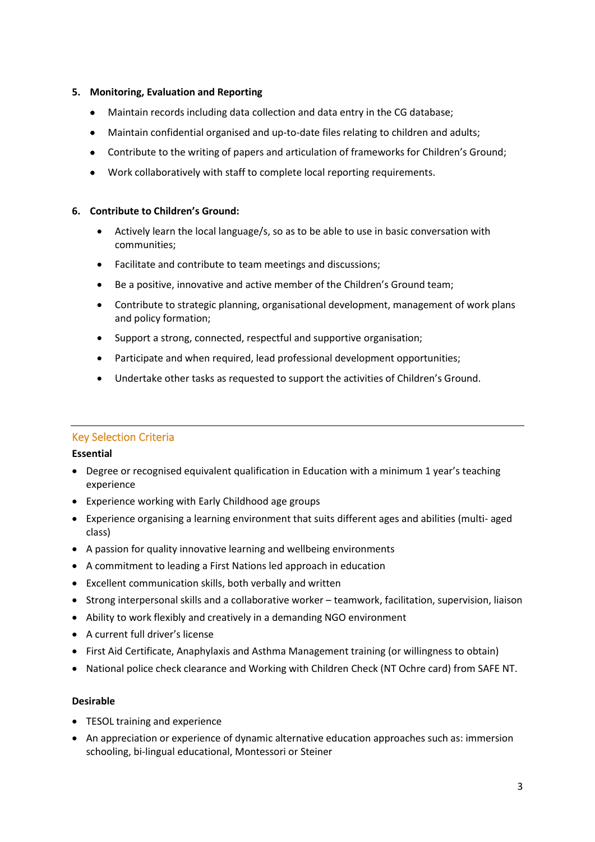## **5. Monitoring, Evaluation and Reporting**

- Maintain records including data collection and data entry in the CG database;
- Maintain confidential organised and up-to-date files relating to children and adults;
- Contribute to the writing of papers and articulation of frameworks for Children's Ground;
- Work collaboratively with staff to complete local reporting requirements.

## **6. Contribute to Children's Ground:**

- Actively learn the local language/s, so as to be able to use in basic conversation with communities;
- Facilitate and contribute to team meetings and discussions;
- Be a positive, innovative and active member of the Children's Ground team;
- Contribute to strategic planning, organisational development, management of work plans and policy formation;
- Support a strong, connected, respectful and supportive organisation;
- Participate and when required, lead professional development opportunities;
- Undertake other tasks as requested to support the activities of Children's Ground.

# Key Selection Criteria

## **Essential**

- Degree or recognised equivalent qualification in Education with a minimum 1 year's teaching experience
- Experience working with Early Childhood age groups
- Experience organising a learning environment that suits different ages and abilities (multi- aged class)
- A passion for quality innovative learning and wellbeing environments
- A commitment to leading a First Nations led approach in education
- Excellent communication skills, both verbally and written
- Strong interpersonal skills and a collaborative worker teamwork, facilitation, supervision, liaison
- Ability to work flexibly and creatively in a demanding NGO environment
- A current full driver's license
- First Aid Certificate, Anaphylaxis and Asthma Management training (or willingness to obtain)
- National police check clearance and Working with Children Check (NT Ochre card) from SAFE NT.

## **Desirable**

- TESOL training and experience
- An appreciation or experience of dynamic alternative education approaches such as: immersion schooling, bi-lingual educational, Montessori or Steiner